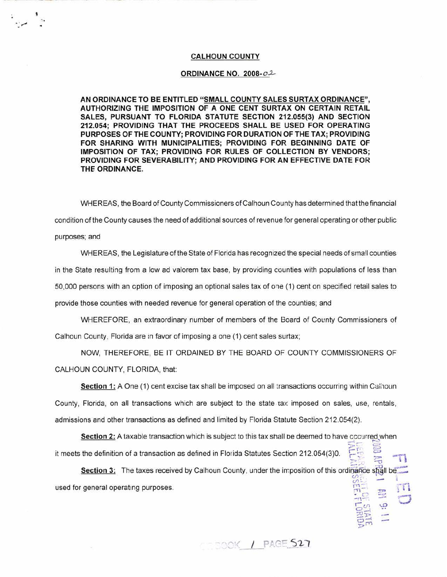## **CALHOUN COUNTY**

## **ORDINANCE NO. 2008-02**

**AN ORDINANCE TO BE ENTITLED "SMALL COUNTY SALES SURTAX ORDINANCE", AUTHORIZING THE IMPOSITION OF A ONE CENT SURTAX ON CERTAIN RETAIL SALES, PURSUANT TO FLORIDA STATUTE SECTION 212.055(3) AND SECTION 212.054; PROVIDING THAT THE PROCEEDS SHALL BE USED FOR OPERATING PURPOSES OF THE COUNTY; PROVIDING FOR DURATION OF THE TAX; PROVIDING FOR SHARING WITH MUNICIPALITIES; PROVIDING FOR BEGINNING DATE OF IMPOSITION OF TAX; PROVIDING FOR RULES OF COLLECTION BY VENDORS; PROVIDING FOR SEVERABILITY; AND PROVIDING FOR AN EFFECTIVE DATE FOR THE ORDINANCE.** 

WHEREAS, the Board of County Commissioners of Calhoun County has determined that the financial condition of the County causes the need of additional sources of revenue for general operating or other public purposes; and

WHEREAS, the Legislature of the State of Florida has recognized the special needs of sma!l counties in the State resulting from a low ad valorem tax base, by providing counties with populations of less than 50,000 persons with an option of imposing an optional sales tax of one (1) cent on specified retail sales to provide those counties with needed revenue for general operation of the counties; and

WHEREFORE, an extraordinary number of members of the Board of County Commissioners of Calhoun County, Florida are :n favor of imposing a one (1) cent sales surtax;

NOW, THEREFORE, BE IT ORDAINED BY THE BOARD OF COUNTY COMMISSIONERS OF CALHOUN COUNTY, FLORIDA, that:

**Section 1:** A One (1) cent excise tax shall be imposed on all transactions occurring within Calinoun County, Florida, on all transactions which are subject to the state-tax imposed on sales, use, rentals, admissions and other transactions as defined and limited by Florida Statute Section 212. 054(2).

**Section 2:** A taxable transaction which is subject to this tax shall be deemed to have cccurred when  $55.5$ it meets the definition of a transaction as defined in Florida Statutes Section 212.054(3)0.  $5\frac{2}{3}$  =  $\frac{1}{11}$ 

**Section 3:** The taxes received by Calhoun County, under the imposition of this ordinance shall be  $U$ )  $\rightarrow$   $I$ used for general operating purposes.

COOOK / PAGE 527

<sup>4</sup> 1-. -" *'Q* I *o\_,* (..,'l \.0

 $~^{22}_{21}$ **:P'** I • •